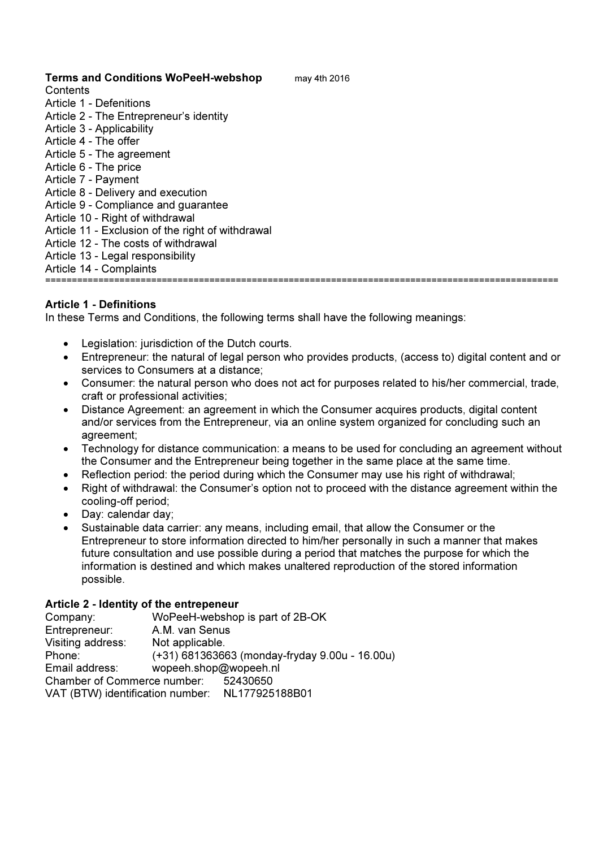# Terms and Conditions WoPeeH-webshop may 4th 2016

**Contents** 

- Article 1 Defenitions
- Article 2 The Entrepreneur's identity
- Article 3 Applicability
- Article 4 The offer
- Article 5 The agreement
- Article 6 The price
- Article 7 Payment
- Article 8 Delivery and execution
- Article 9 Compliance and guarantee
- Article 10 Right of withdrawal
- Article 11 Exclusion of the right of withdrawal
- Article 12 The costs of withdrawal
- Article 13 Legal responsibility
- Article 14 Complaints

=================================================================================================

## Article 1 - Definitions

In these Terms and Conditions, the following terms shall have the following meanings:

- Legislation: jurisdiction of the Dutch courts.
- Entrepreneur: the natural of legal person who provides products, (access to) digital content and or services to Consumers at a distance;
- Consumer: the natural person who does not act for purposes related to his/her commercial, trade, craft or professional activities;
- Distance Agreement: an agreement in which the Consumer acquires products, digital content and/or services from the Entrepreneur, via an online system organized for concluding such an agreement;
- Technology for distance communication: a means to be used for concluding an agreement without the Consumer and the Entrepreneur being together in the same place at the same time.
- Reflection period: the period during which the Consumer may use his right of withdrawal;
- Right of withdrawal: the Consumer's option not to proceed with the distance agreement within the cooling-off period;
- Day: calendar day:
- Sustainable data carrier: any means, including email, that allow the Consumer or the Entrepreneur to store information directed to him/her personally in such a manner that makes future consultation and use possible during a period that matches the purpose for which the information is destined and which makes unaltered reproduction of the stored information possible.

### Article 2 - Identity of the entrepeneur

| Company:                                        |                       | WoPeeH-webshop is part of 2B-OK                |
|-------------------------------------------------|-----------------------|------------------------------------------------|
| Entrepreneur:                                   | A.M. van Senus        |                                                |
| Visiting address:                               | Not applicable.       |                                                |
| Phone:                                          |                       | (+31) 681363663 (monday-fryday 9.00u - 16.00u) |
| Email address:                                  | wopeeh.shop@wopeeh.nl |                                                |
| Chamber of Commerce number:                     |                       | 52430650                                       |
| VAT (BTW) identification number: NL177925188B01 |                       |                                                |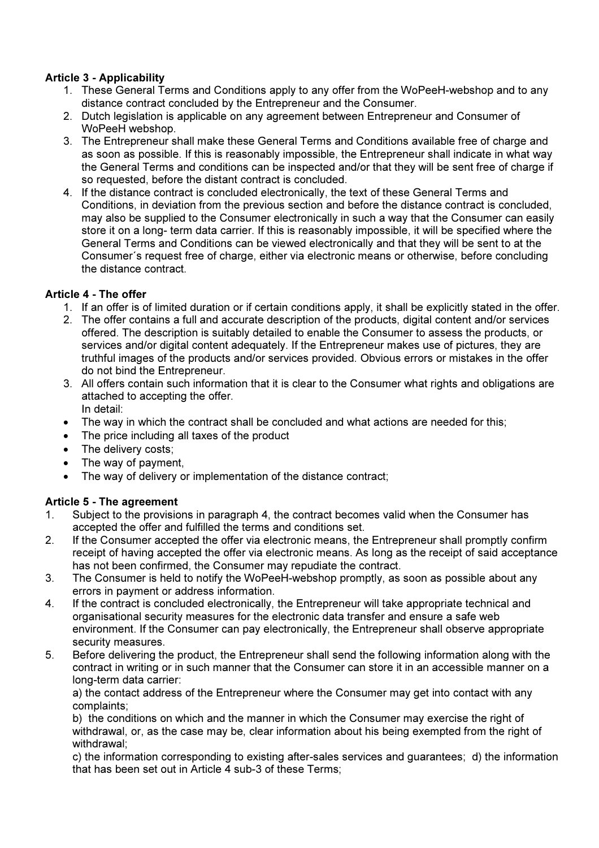# Article 3 - Applicability

- 1. These General Terms and Conditions apply to any offer from the WoPeeH-webshop and to any distance contract concluded by the Entrepreneur and the Consumer.
- 2. Dutch legislation is applicable on any agreement between Entrepreneur and Consumer of WoPeeH webshop.
- 3. The Entrepreneur shall make these General Terms and Conditions available free of charge and as soon as possible. If this is reasonably impossible, the Entrepreneur shall indicate in what way the General Terms and conditions can be inspected and/or that they will be sent free of charge if so requested, before the distant contract is concluded.
- 4. If the distance contract is concluded electronically, the text of these General Terms and Conditions, in deviation from the previous section and before the distance contract is concluded, may also be supplied to the Consumer electronically in such a way that the Consumer can easily store it on a long- term data carrier. If this is reasonably impossible, it will be specified where the General Terms and Conditions can be viewed electronically and that they will be sent to at the Consumer´s request free of charge, either via electronic means or otherwise, before concluding the distance contract.

## Article 4 - The offer

- 1. If an offer is of limited duration or if certain conditions apply, it shall be explicitly stated in the offer.
- 2. The offer contains a full and accurate description of the products, digital content and/or services offered. The description is suitably detailed to enable the Consumer to assess the products, or services and/or digital content adequately. If the Entrepreneur makes use of pictures, they are truthful images of the products and/or services provided. Obvious errors or mistakes in the offer do not bind the Entrepreneur.
- 3. All offers contain such information that it is clear to the Consumer what rights and obligations are attached to accepting the offer. In detail:
- The way in which the contract shall be concluded and what actions are needed for this;
- The price including all taxes of the product
- The delivery costs:
- The way of payment,
- The way of delivery or implementation of the distance contract;

## Article 5 - The agreement

- 1. Subject to the provisions in paragraph 4, the contract becomes valid when the Consumer has accepted the offer and fulfilled the terms and conditions set.
- 2. If the Consumer accepted the offer via electronic means, the Entrepreneur shall promptly confirm receipt of having accepted the offer via electronic means. As long as the receipt of said acceptance has not been confirmed, the Consumer may repudiate the contract.
- 3. The Consumer is held to notify the WoPeeH-webshop promptly, as soon as possible about any errors in payment or address information.
- 4. If the contract is concluded electronically, the Entrepreneur will take appropriate technical and organisational security measures for the electronic data transfer and ensure a safe web environment. If the Consumer can pay electronically, the Entrepreneur shall observe appropriate security measures.
- 5. Before delivering the product, the Entrepreneur shall send the following information along with the contract in writing or in such manner that the Consumer can store it in an accessible manner on a long-term data carrier:

a) the contact address of the Entrepreneur where the Consumer may get into contact with any complaints;

b) the conditions on which and the manner in which the Consumer may exercise the right of withdrawal, or, as the case may be, clear information about his being exempted from the right of withdrawal;

c) the information corresponding to existing after-sales services and guarantees; d) the information that has been set out in Article 4 sub-3 of these Terms;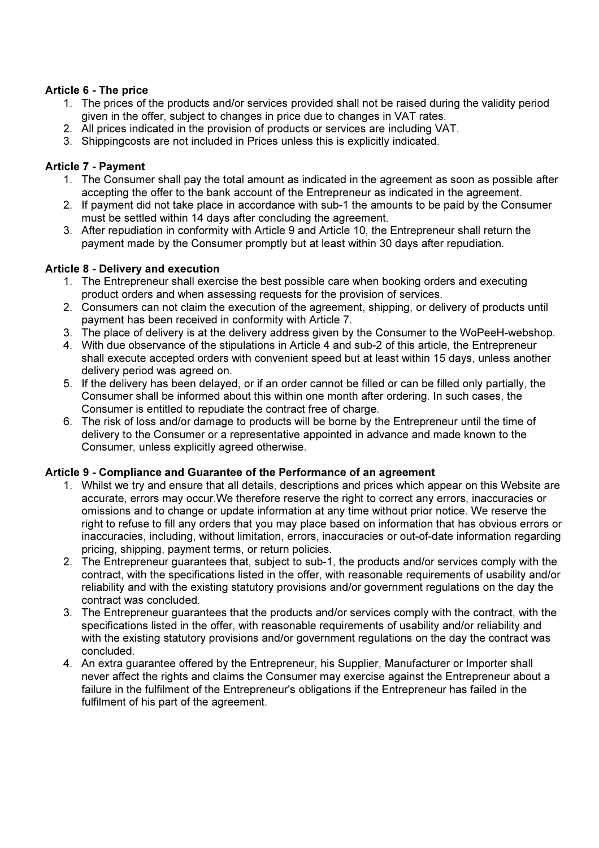# Article 6 - The price

- 1. The prices of the products and/or services provided shall not be raised during the validity period given in the offer, subject to changes in price due to changes in VAT rates.
- 2. All prices indicated in the provision of products or services are including VAT.
- 3. Shippingcosts are not included in Prices unless this is explicitly indicated.

## Article 7 - Payment

- 1. The Consumer shall pay the total amount as indicated in the agreement as soon as possible after accepting the offer to the bank account of the Entrepreneur as indicated in the agreement.
- 2. If payment did not take place in accordance with sub-1 the amounts to be paid by the Consumer must be settled within 14 days after concluding the agreement.
- 3. After repudiation in conformity with Article 9 and Article 10, the Entrepreneur shall return the payment made by the Consumer promptly but at least within 30 days after repudiation.

## Article 8 - Delivery and execution

- 1. The Entrepreneur shall exercise the best possible care when booking orders and executing product orders and when assessing requests for the provision of services.
- 2. Consumers can not claim the execution of the agreement, shipping, or delivery of products until payment has been received in conformity with Article 7.
- 3. The place of delivery is at the delivery address given by the Consumer to the WoPeeH-webshop.
- 4. With due observance of the stipulations in Article 4 and sub-2 of this article, the Entrepreneur shall execute accepted orders with convenient speed but at least within 15 days, unless another delivery period was agreed on.
- 5. If the delivery has been delayed, or if an order cannot be filled or can be filled only partially, the Consumer shall be informed about this within one month after ordering. In such cases, the Consumer is entitled to repudiate the contract free of charge.
- 6. The risk of loss and/or damage to products will be borne by the Entrepreneur until the time of delivery to the Consumer or a representative appointed in advance and made known to the Consumer, unless explicitly agreed otherwise.

### Article 9 - Compliance and Guarantee of the Performance of an agreement

- 1. Whilst we try and ensure that all details, descriptions and prices which appear on this Website are accurate, errors may occur.We therefore reserve the right to correct any errors, inaccuracies or omissions and to change or update information at any time without prior notice. We reserve the right to refuse to fill any orders that you may place based on information that has obvious errors or inaccuracies, including, without limitation, errors, inaccuracies or out-of-date information regarding pricing, shipping, payment terms, or return policies.
- 2. The Entrepreneur guarantees that, subject to sub-1, the products and/or services comply with the contract, with the specifications listed in the offer, with reasonable requirements of usability and/or reliability and with the existing statutory provisions and/or government regulations on the day the contract was concluded.
- 3. The Entrepreneur guarantees that the products and/or services comply with the contract, with the specifications listed in the offer, with reasonable requirements of usability and/or reliability and with the existing statutory provisions and/or government regulations on the day the contract was concluded.
- 4. An extra guarantee offered by the Entrepreneur, his Supplier, Manufacturer or Importer shall never affect the rights and claims the Consumer may exercise against the Entrepreneur about a failure in the fulfilment of the Entrepreneur's obligations if the Entrepreneur has failed in the fulfilment of his part of the agreement.